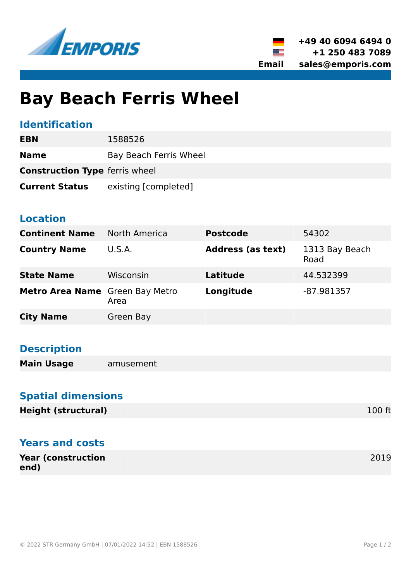

▒≡

# **Bay Beach Ferris Wheel**

### **Identification**

| <b>EBN</b>                            | 1588526                |
|---------------------------------------|------------------------|
| <b>Name</b>                           | Bay Beach Ferris Wheel |
| <b>Construction Type ferris wheel</b> |                        |
| <b>Current Status</b>                 | existing [completed]   |

### **Location**

| <b>Continent Name</b>           | North America | <b>Postcode</b>          | 54302                  |
|---------------------------------|---------------|--------------------------|------------------------|
| <b>Country Name</b>             | U.S.A.        | <b>Address (as text)</b> | 1313 Bay Beach<br>Road |
| <b>State Name</b>               | Wisconsin     | <b>Latitude</b>          | 44.532399              |
| Metro Area Name Green Bay Metro | Area          | Longitude                | $-87.981357$           |
| <b>City Name</b>                | Green Bay     |                          |                        |

### **Description**

**Main Usage** amusement

### **Spatial dimensions**

### **Years and costs**

| <b>Year (construction)</b> | 2019 |
|----------------------------|------|
| end)                       |      |